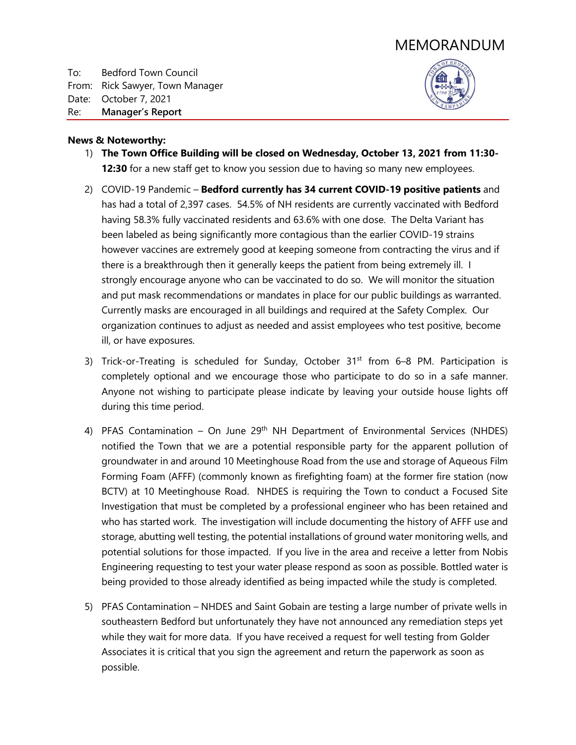# MEMORANDUM

To: Bedford Town Council From: Rick Sawyer, Town Manager Date: October 7, 2021 Re: **Manager's Report**



## **News & Noteworthy:**

- 1) **The Town Office Building will be closed on Wednesday, October 13, 2021 from 11:30- 12:30** for a new staff get to know you session due to having so many new employees.
- 2) COVID-19 Pandemic **Bedford currently has 34 current COVID-19 positive patients** and has had a total of 2,397 cases. 54.5% of NH residents are currently vaccinated with Bedford having 58.3% fully vaccinated residents and 63.6% with one dose. The Delta Variant has been labeled as being significantly more contagious than the earlier COVID-19 strains however vaccines are extremely good at keeping someone from contracting the virus and if there is a breakthrough then it generally keeps the patient from being extremely ill. I strongly encourage anyone who can be vaccinated to do so. We will monitor the situation and put mask recommendations or mandates in place for our public buildings as warranted. Currently masks are encouraged in all buildings and required at the Safety Complex. Our organization continues to adjust as needed and assist employees who test positive, become ill, or have exposures.
- 3) Trick-or-Treating is scheduled for Sunday, October  $31<sup>st</sup>$  from 6–8 PM. Participation is completely optional and we encourage those who participate to do so in a safe manner. Anyone not wishing to participate please indicate by leaving your outside house lights off during this time period.
- 4) PFAS Contamination On June  $29<sup>th</sup>$  NH Department of Environmental Services (NHDES) notified the Town that we are a potential responsible party for the apparent pollution of groundwater in and around 10 Meetinghouse Road from the use and storage of Aqueous Film Forming Foam (AFFF) (commonly known as firefighting foam) at the former fire station (now BCTV) at 10 Meetinghouse Road. NHDES is requiring the Town to conduct a Focused Site Investigation that must be completed by a professional engineer who has been retained and who has started work. The investigation will include documenting the history of AFFF use and storage, abutting well testing, the potential installations of ground water monitoring wells, and potential solutions for those impacted. If you live in the area and receive a letter from Nobis Engineering requesting to test your water please respond as soon as possible. Bottled water is being provided to those already identified as being impacted while the study is completed.
- 5) PFAS Contamination NHDES and Saint Gobain are testing a large number of private wells in southeastern Bedford but unfortunately they have not announced any remediation steps yet while they wait for more data. If you have received a request for well testing from Golder Associates it is critical that you sign the agreement and return the paperwork as soon as possible.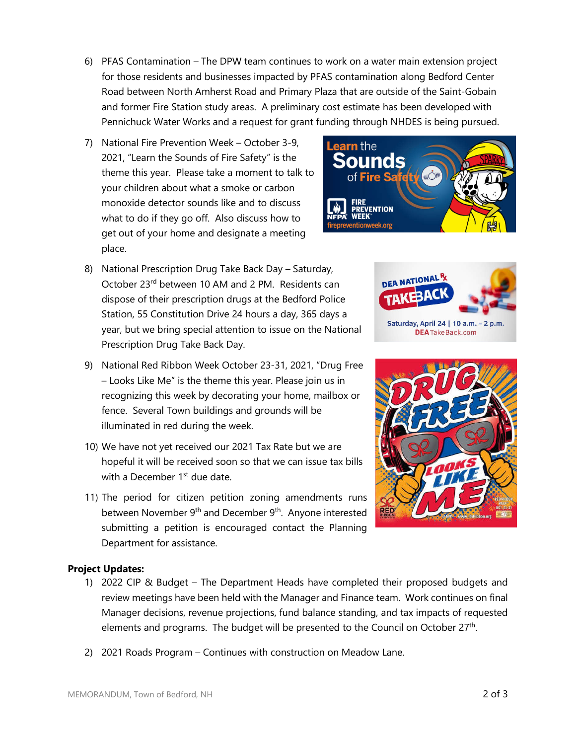6) PFAS Contamination – The DPW team continues to work on a water main extension project for those residents and businesses impacted by PFAS contamination along Bedford Center Road between North Amherst Road and Primary Plaza that are outside of the Saint-Gobain and former Fire Station study areas. A preliminary cost estimate has been developed with Pennichuck Water Works and a request for grant funding through NHDES is being pursued.

**Learn** the

Sounds Fire Sa

eventionweek.org

**ENTION** 

- 7) National Fire Prevention Week October 3-9, 2021, "Learn the Sounds of Fire Safety" is the theme this year. Please take a moment to talk to your children about what a smoke or carbon monoxide detector sounds like and to discuss what to do if they go off. Also discuss how to get out of your home and designate a meeting place.
- 8) National Prescription Drug Take Back Day Saturday, October 23rd between 10 AM and 2 PM. Residents can dispose of their prescription drugs at the Bedford Police Station, 55 Constitution Drive 24 hours a day, 365 days a year, but we bring special attention to issue on the National Prescription Drug Take Back Day.
- 9) National Red Ribbon Week October 23-31, 2021, "Drug Free – Looks Like Me" is the theme this year. Please join us in recognizing this week by decorating your home, mailbox or fence. Several Town buildings and grounds will be illuminated in red during the week.
- 10) We have not yet received our 2021 Tax Rate but we are hopeful it will be received soon so that we can issue tax bills with a December  $1<sup>st</sup>$  due date.
- 11) The period for citizen petition zoning amendments runs between November 9<sup>th</sup> and December 9<sup>th</sup>. Anyone interested submitting a petition is encouraged contact the Planning Department for assistance.

## **Project Updates:**

- 1) 2022 CIP & Budget The Department Heads have completed their proposed budgets and review meetings have been held with the Manager and Finance team. Work continues on final Manager decisions, revenue projections, fund balance standing, and tax impacts of requested elements and programs. The budget will be presented to the Council on October 27th.
- 2) 2021 Roads Program Continues with construction on Meadow Lane.